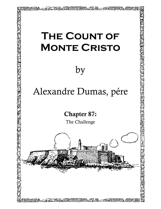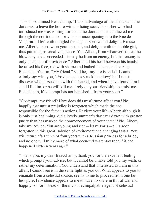"Then," continued Beauchamp, "I took advantage of the silence and the darkness to leave the house without being seen. The usher who had introduced me was waiting for me at the door, and he conducted me through the corridors to a private entrance opening into the Rue de Vaugirard. I left with mingled feelings of sorrow and delight. Excuse me, Albert,—sorrow on your account, and delight with that noble girl, thus pursuing paternal vengeance. Yes, Albert, from whatever source the blow may have proceeded—it may be from an enemy, but that enemy is only the agent of providence." Albert held his head between his hands; he raised his face, red with shame and bathed in tears, and seizing Beauchamp's arm, "My friend," said he, "my life is ended. I cannot calmly say with you, 'Providence has struck the blow;' but I must discover who pursues me with this hatred, and when I have found him I shall kill him, or he will kill me. I rely on your friendship to assist me, Beauchamp, if contempt has not banished it from your heart."

"Contempt, my friend? How does this misfortune affect you? No, happily that unjust prejudice is forgotten which made the son responsible for the father's actions. Review your life, Albert; although it is only just beginning, did a lovely summer's day ever dawn with greater purity than has marked the commencement of your career? No, Albert, take my advice. You are young and rich—leave Paris—all is soon forgotten in this great Babylon of excitement and changing tastes. You will return after three or four years with a Russian princess for a bride, and no one will think more of what occurred yesterday than if it had happened sixteen years ago."

"Thank you, my dear Beauchamp, thank you for the excellent feeling which prompts your advice; but it cannot be. I have told you my wish, or rather my determination. You understand that, interested as I am in this affair, I cannot see it in the same light as you do. What appears to you to emanate from a celestial source, seems to me to proceed from one far less pure. Providence appears to me to have no share in this affair; and happily so, for instead of the invisible, impalpable agent of celestial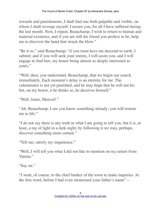rewards and punishments, I shall find one both palpable and visible, on whom I shall revenge myself, I assure you, for all I have suffered during the last month. Now, I repeat, Beauchamp, I wish to return to human and material existence, and if you are still the friend you profess to be, help me to discover the hand that struck the blow."

"Be it so," said Beauchamp; "if you must have me descend to earth, I submit; and if you will seek your enemy, I will assist you, and I will engage to find him, my honor being almost as deeply interested as yours."

"Well, then, you understand, Beauchamp, that we begin our search immediately. Each moment's delay is an eternity for me. The calumniator is not yet punished, and he may hope that he will not be; but, on my honor, it he thinks so, he deceives himself."

"Well, listen, Morcerf."

"Ah, Beauchamp, I see you know something already; you will restore me to life."

"I do not say there is any truth in what I am going to tell you, but it is, at least, a ray of light in a dark night; by following it we may, perhaps, discover something more certain."

"Tell me; satisfy my impatience."

"Well, I will tell you what I did not like to mention on my return from Yanina."

"Say on."

"I went, of course, to the chief banker of the town to make inquiries. At the first word, before I had even mentioned your father's name"—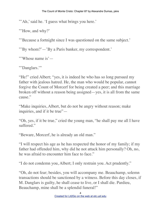"'Ah,' said he. 'I guess what brings you here.'

"How, and why?"

"'Because a fortnight since I was questioned on the same subject.'

"'By whom?'—'By a Paris banker, my correspondent.'

"'Whose name is'-

"'Danglars.'"

"He!" cried Albert; "yes, it is indeed he who has so long pursued my father with jealous hatred. He, the man who would be popular, cannot forgive the Count of Morcerf for being created a peer; and this marriage broken off without a reason being assigned—yes, it is all from the same cause."

"Make inquiries, Albert, but do not be angry without reason; make inquiries, and if it be true"—

"Oh, yes, if it be true," cried the young man, "he shall pay me all I have suffered."

"Beware, Morcerf, he is already an old man."

"I will respect his age as he has respected the honor of my family; if my father had offended him, why did he not attack him personally? Oh, no, he was afraid to encounter him face to face."

"I do not condemn you, Albert; I only restrain you. Act prudently."

"Oh, do not fear; besides, you will accompany me. Beauchamp, solemn transactions should be sanctioned by a witness. Before this day closes, if M. Danglars is guilty, he shall cease to live, or I shall die. Pardieu, Beauchamp, mine shall be a splendid funeral!"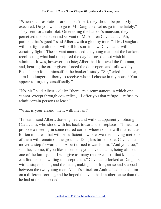"When such resolutions are made, Albert, they should be promptly executed. Do you wish to go to M. Danglars? Let us go immediately." They sent for a cabriolet. On entering the banker's mansion, they perceived the phaeton and servant of M. Andrea Cavalcanti. "Ah, parbleu, that's good," said Albert, with a gloomy tone. "If M. Danglars will not fight with me, I will kill his son–in–law; Cavalcanti will certainly fight." The servant announced the young man; but the banker, recollecting what had transpired the day before, did not wish him admitted. It was, however, too late; Albert had followed the footman, and, hearing the order given, forced the door open, and followed by Beauchamp found himself in the banker's study. "Sir," cried the latter, "am I no longer at liberty to receive whom I choose in my house? You appear to forget yourself sadly."

"No, sir," said Albert, coldly; "there are circumstances in which one cannot, except through cowardice,—I offer you that refuge,—refuse to admit certain persons at least."

"What is your errand, then, with me, sir?"

"I mean," said Albert, drawing near, and without apparently noticing Cavalcanti, who stood with his back towards the fireplace—"I mean to propose a meeting in some retired corner where no one will interrupt us for ten minutes; that will be sufficient—where two men having met, one of them will remain on the ground." Danglars turned pale; Cavalcanti moved a step forward, and Albert turned towards him. "And you, too," said he, "come, if you like, monsieur; you have a claim, being almost one of the family, and I will give as many rendezvous of that kind as I can find persons willing to accept them." Cavalcanti looked at Danglars with a stupefied air, and the latter, making an effort, arose and stepped between the two young men. Albert's attack on Andrea had placed him on a different footing, and he hoped this visit had another cause than that he had at first supposed.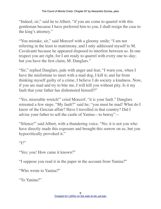"Indeed, sir," said he to Albert, "if you are come to quarrel with this gentleman because I have preferred him to you, I shall resign the case to the king's attorney."

"You mistake, sir," said Morcerf with a gloomy smile; "I am not referring in the least to matrimony, and I only addressed myself to M. Cavalcanti because he appeared disposed to interfere between us. In one respect you are right, for I am ready to quarrel with every one to–day; but you have the first claim, M. Danglars."

"Sir," replied Danglars, pale with anger and fear, "I warn you, when I have the misfortune to meet with a mad dog, I kill it; and far from thinking myself guilty of a crime, I believe I do society a kindness. Now, if you are mad and try to bite me, I will kill you without pity. Is it my fault that your father has dishonored himself?"

"Yes, miserable wretch!" cried Morcerf, "it is your fault." Danglars retreated a few steps. "My fault?" said he; "you must be mad! What do I know of the Grecian affair? Have I travelled in that country? Did I advise your father to sell the castle of Yanina—to betray"—

"Silence!" said Albert, with a thundering voice. "No; it is not you who have directly made this exposure and brought this sorrow on us, but you hypocritically provoked it."

 $472"$ 

"Yes; you! How came it known?"

"I suppose you read it in the paper in the account from Yanina?"

"Who wrote to Yanina?"

"To Yanina?"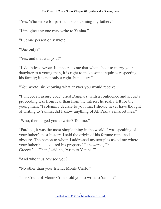"Yes. Who wrote for particulars concerning my father?"

"I imagine any one may write to Yanina."

"But one person only wrote!"

"One only?"

"Yes; and that was you!"

"I, doubtless, wrote. It appears to me that when about to marry your daughter to a young man, it is right to make some inquiries respecting his family; it is not only a right, but a duty."

"You wrote, sir, knowing what answer you would receive."

"I, indeed? I assure you," cried Danglars, with a confidence and security proceeding less from fear than from the interest he really felt for the young man, "I solemnly declare to you, that I should never have thought of writing to Yanina, did I know anything of Ali Pasha's misfortunes."

"Who, then, urged you to write? Tell me."

"Pardieu, it was the most simple thing in the world. I was speaking of your father's past history. I said the origin of his fortune remained obscure. The person to whom I addressed my scruples asked me where your father had acquired his property? I answered, 'In Greece.'—'Then,' said he, 'write to Yanina.'"

"And who thus advised you?"

"No other than your friend, Monte Cristo."

"The Count of Monte Cristo told you to write to Yanina?"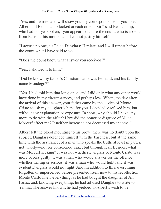"Yes; and I wrote, and will show you my correspondence, if you like." Albert and Beauchamp looked at each other. "Sir," said Beauchamp, who had not yet spoken, "you appear to accuse the count, who is absent from Paris at this moment, and cannot justify himself."

"I accuse no one, sir," said Danglars; "I relate, and I will repeat before the count what I have said to you."

"Does the count know what answer you received?"

"Yes; I showed it to him."

"Did he know my father's Christian name was Fernand, and his family name Mondego?"

"Yes, I had told him that long since, and I did only what any other would have done in my circumstances, and perhaps less. When, the day after the arrival of this answer, your father came by the advice of Monte Cristo to ask my daughter's hand for you, I decidedly refused him, but without any explanation or exposure. In short, why should I have any more to do with the affair? How did the honor or disgrace of M. de Morcerf affect me? It neither increased nor decreased my income."

Albert felt the blood mounting to his brow; there was no doubt upon the subject. Danglars defended himself with the baseness, but at the same time with the assurance, of a man who speaks the truth, at least in part, if not wholly—not for conscience' sake, but through fear. Besides, what was Morcerf seeking? It was not whether Danglars or Monte Cristo was more or less guilty; it was a man who would answer for the offence, whether trifling or serious; it was a man who would fight, and it was evident Danglars would not fight. And, in addition to this, everything forgotten or unperceived before presented itself now to his recollection. Monte Cristo knew everything, as he had bought the daughter of Ali Pasha; and, knowing everything, he had advised Danglars to write to Yanina. The answer known, he had yielded to Albert's wish to be